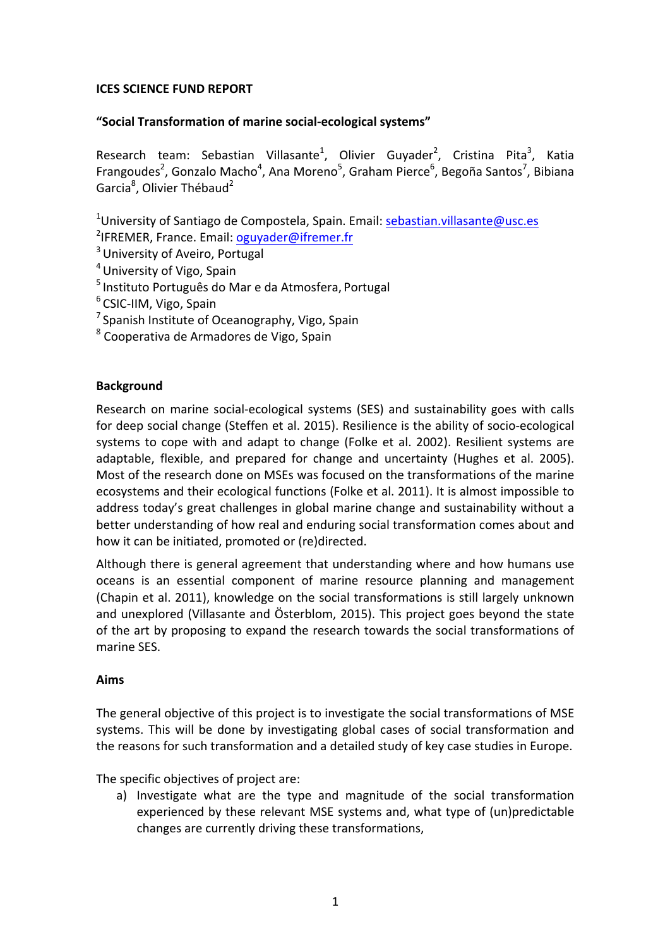# **ICES SCIENCE FUND REPORT**

# **"Social Transformation of marine social-ecological systems"**

Research team: Sebastian Villasante<sup>1</sup>, Olivier Guyader<sup>2</sup>, Cristina Pita<sup>3</sup>, Katia Frangoudes<sup>2</sup>, Gonzalo Macho<sup>4</sup>, Ana Moreno<sup>5</sup>, Graham Pierce<sup>6</sup>, Begoña Santos<sup>7</sup>, Bibiana Garcia<sup>8</sup>, Olivier Thébaud<sup>2</sup>

<sup>1</sup>University of Santiago de Compostela, Spain. Email: sebastian.villasante@usc.es

<sup>2</sup>IFREMER, France. Email: **oguyader@ifremer.fr** 

- <sup>3</sup> University of Aveiro, Portugal
- <sup>4</sup> University of Vigo, Spain
- $5$  Instituto Português do Mar e da Atmosfera, Portugal
- $6$  CSIC-IIM, Vigo, Spain
- $<sup>7</sup>$  Spanish Institute of Oceanography, Vigo, Spain</sup>
- $8$  Cooperativa de Armadores de Vigo, Spain

# **Background**

Research on marine social-ecological systems (SES) and sustainability goes with calls for deep social change (Steffen et al. 2015). Resilience is the ability of socio-ecological systems to cope with and adapt to change (Folke et al. 2002). Resilient systems are adaptable, flexible, and prepared for change and uncertainty (Hughes et al. 2005). Most of the research done on MSEs was focused on the transformations of the marine ecosystems and their ecological functions (Folke et al. 2011). It is almost impossible to address today's great challenges in global marine change and sustainability without a better understanding of how real and enduring social transformation comes about and how it can be initiated, promoted or (re)directed.

Although there is general agreement that understanding where and how humans use oceans is an essential component of marine resource planning and management (Chapin et al. 2011), knowledge on the social transformations is still largely unknown and unexplored (Villasante and Österblom, 2015). This project goes beyond the state of the art by proposing to expand the research towards the social transformations of marine SFS.

### **Aims**

The general objective of this project is to investigate the social transformations of MSE systems. This will be done by investigating global cases of social transformation and the reasons for such transformation and a detailed study of key case studies in Europe.

The specific objectives of project are:

a) Investigate what are the type and magnitude of the social transformation experienced by these relevant MSE systems and, what type of (un)predictable changes are currently driving these transformations,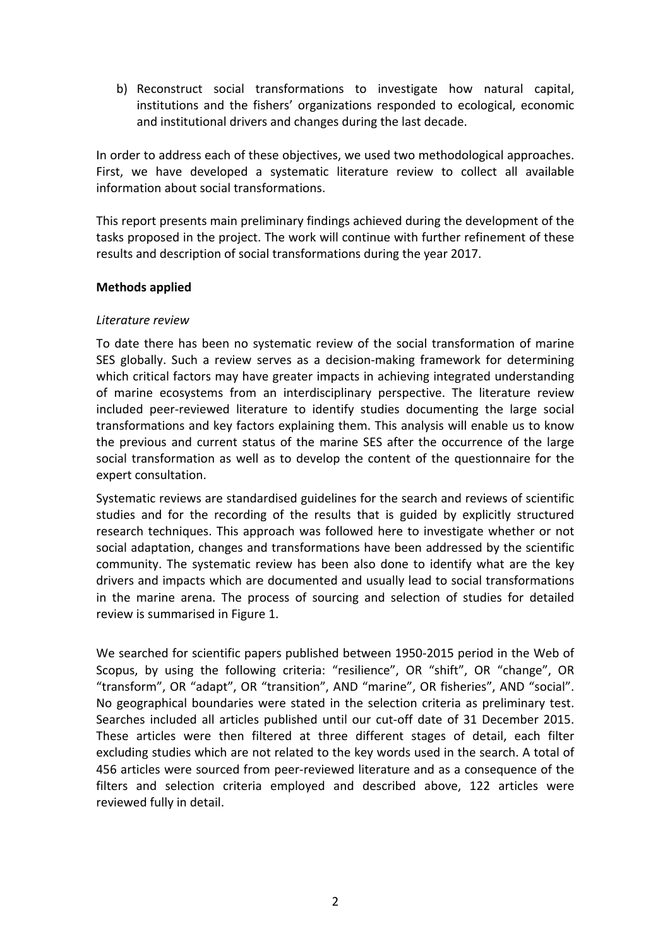b) Reconstruct social transformations to investigate how natural capital, institutions and the fishers' organizations responded to ecological, economic and institutional drivers and changes during the last decade.

In order to address each of these objectives, we used two methodological approaches. First, we have developed a systematic literature review to collect all available information about social transformations.

This report presents main preliminary findings achieved during the development of the tasks proposed in the project. The work will continue with further refinement of these results and description of social transformations during the year 2017.

# **Methods applied**

# *Literature review*

To date there has been no systematic review of the social transformation of marine SES globally. Such a review serves as a decision-making framework for determining which critical factors may have greater impacts in achieving integrated understanding of marine ecosystems from an interdisciplinary perspective. The literature review included peer-reviewed literature to identify studies documenting the large social transformations and key factors explaining them. This analysis will enable us to know the previous and current status of the marine SES after the occurrence of the large social transformation as well as to develop the content of the questionnaire for the expert consultation.

Systematic reviews are standardised guidelines for the search and reviews of scientific studies and for the recording of the results that is guided by explicitly structured research techniques. This approach was followed here to investigate whether or not social adaptation, changes and transformations have been addressed by the scientific community. The systematic review has been also done to identify what are the key drivers and impacts which are documented and usually lead to social transformations in the marine arena. The process of sourcing and selection of studies for detailed review is summarised in Figure 1.

We searched for scientific papers published between 1950-2015 period in the Web of Scopus, by using the following criteria: "resilience", OR "shift", OR "change", OR "transform", OR "adapt", OR "transition", AND "marine", OR fisheries", AND "social". No geographical boundaries were stated in the selection criteria as preliminary test. Searches included all articles published until our cut-off date of 31 December 2015. These articles were then filtered at three different stages of detail, each filter excluding studies which are not related to the key words used in the search. A total of 456 articles were sourced from peer-reviewed literature and as a consequence of the filters and selection criteria employed and described above, 122 articles were reviewed fully in detail.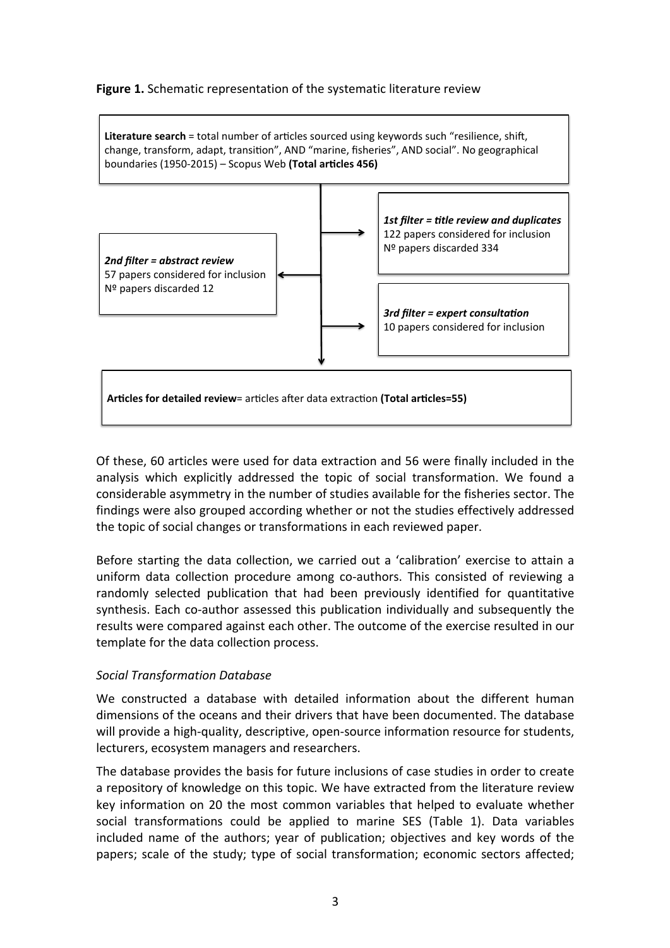# **Figure 1.** Schematic representation of the systematic literature review

Literature search = total number of articles sourced using keywords such "resilience, shift, change, transform, adapt, transition", AND "marine, fisheries", AND social". No geographical boundaries (1950-2015) - Scopus Web (Total articles 456)



Of these, 60 articles were used for data extraction and 56 were finally included in the analysis which explicitly addressed the topic of social transformation. We found a considerable asymmetry in the number of studies available for the fisheries sector. The findings were also grouped according whether or not the studies effectively addressed the topic of social changes or transformations in each reviewed paper.

Before starting the data collection, we carried out a 'calibration' exercise to attain a uniform data collection procedure among co-authors. This consisted of reviewing a randomly selected publication that had been previously identified for quantitative synthesis. Each co-author assessed this publication individually and subsequently the results were compared against each other. The outcome of the exercise resulted in our template for the data collection process.

### *Social Transformation Database*

We constructed a database with detailed information about the different human dimensions of the oceans and their drivers that have been documented. The database will provide a high-quality, descriptive, open-source information resource for students, lecturers, ecosystem managers and researchers.

The database provides the basis for future inclusions of case studies in order to create a repository of knowledge on this topic. We have extracted from the literature review key information on 20 the most common variables that helped to evaluate whether social transformations could be applied to marine SES (Table 1). Data variables included name of the authors; year of publication; objectives and key words of the papers; scale of the study; type of social transformation; economic sectors affected;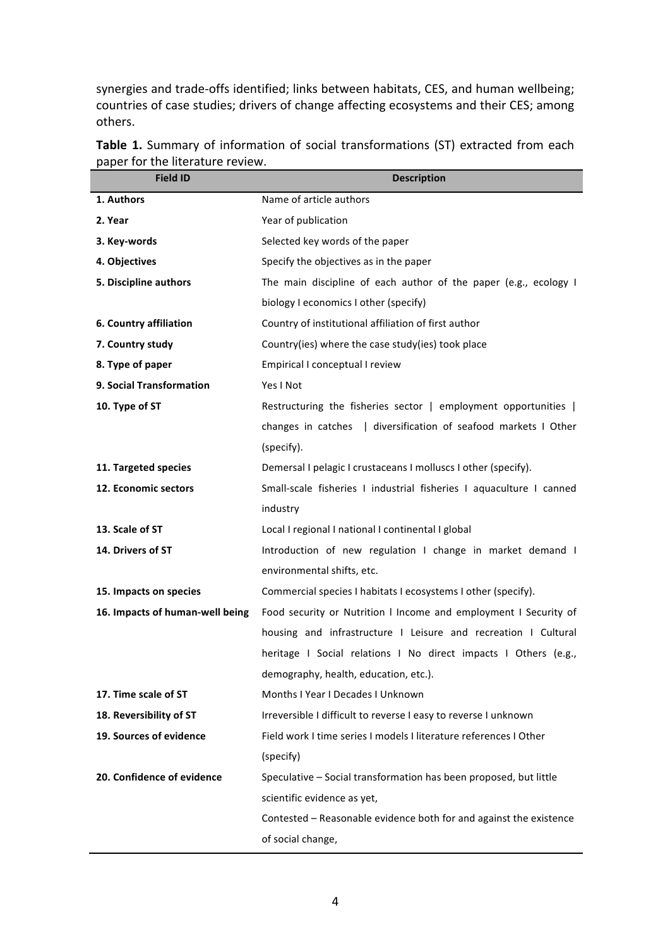synergies and trade-offs identified; links between habitats, CES, and human wellbeing; countries of case studies; drivers of change affecting ecosystems and their CES; among others.

| <b>Field ID</b>                 | <b>Description</b>                                                  |
|---------------------------------|---------------------------------------------------------------------|
| 1. Authors                      | Name of article authors                                             |
| 2. Year                         | Year of publication                                                 |
| 3. Key-words                    | Selected key words of the paper                                     |
| 4. Objectives                   | Specify the objectives as in the paper                              |
| 5. Discipline authors           | The main discipline of each author of the paper (e.g., ecology I    |
|                                 | biology I economics I other (specify)                               |
| 6. Country affiliation          | Country of institutional affiliation of first author                |
| 7. Country study                | Country(ies) where the case study(ies) took place                   |
| 8. Type of paper                | Empirical I conceptual I review                                     |
| 9. Social Transformation        | Yes I Not                                                           |
| 10. Type of ST                  | Restructuring the fisheries sector   employment opportunities       |
|                                 | changes in catches   diversification of seafood markets I Other     |
|                                 | (specify).                                                          |
| 11. Targeted species            | Demersal I pelagic I crustaceans I molluscs I other (specify).      |
| 12. Economic sectors            | Small-scale fisheries I industrial fisheries I aquaculture I canned |
|                                 | industry                                                            |
| 13. Scale of ST                 | Local I regional I national I continental I global                  |
| 14. Drivers of ST               | Introduction of new regulation I change in market demand I          |
|                                 | environmental shifts, etc.                                          |
| 15. Impacts on species          | Commercial species I habitats I ecosystems I other (specify).       |
| 16. Impacts of human-well being | Food security or Nutrition I Income and employment I Security of    |
|                                 | housing and infrastructure I Leisure and recreation I Cultural      |
|                                 | heritage I Social relations I No direct impacts I Others (e.g.,     |
|                                 | demography, health, education, etc.).                               |
| 17. Time scale of ST            | Months I Year I Decades I Unknown                                   |
| 18. Reversibility of ST         | Irreversible I difficult to reverse I easy to reverse I unknown     |
| 19. Sources of evidence         | Field work I time series I models I literature references I Other   |
|                                 | (specify)                                                           |
| 20. Confidence of evidence      | Speculative - Social transformation has been proposed, but little   |
|                                 | scientific evidence as yet,                                         |
|                                 | Contested - Reasonable evidence both for and against the existence  |
|                                 | of social change,                                                   |

**Table 1.** Summary of information of social transformations (ST) extracted from each paper for the literature review.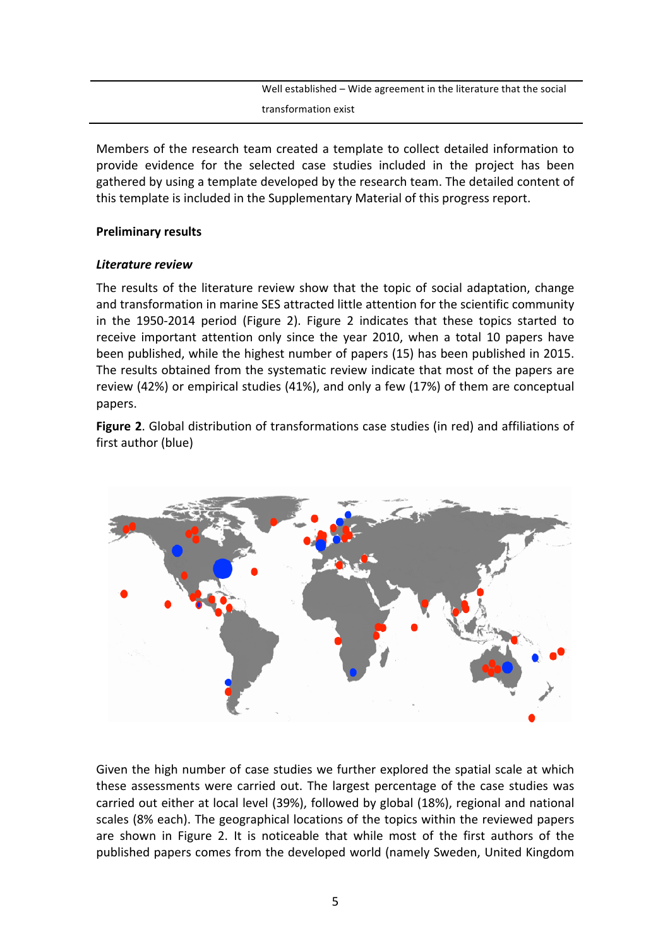Well established - Wide agreement in the literature that the social transformation exist

Members of the research team created a template to collect detailed information to provide evidence for the selected case studies included in the project has been gathered by using a template developed by the research team. The detailed content of this template is included in the Supplementary Material of this progress report.

# **Preliminary results**

# **Literature** review

The results of the literature review show that the topic of social adaptation, change and transformation in marine SES attracted little attention for the scientific community in the 1950-2014 period (Figure 2). Figure 2 indicates that these topics started to receive important attention only since the year 2010, when a total 10 papers have been published, while the highest number of papers (15) has been published in 2015. The results obtained from the systematic review indicate that most of the papers are review (42%) or empirical studies (41%), and only a few (17%) of them are conceptual papers. 

**Figure 2.** Global distribution of transformations case studies (in red) and affiliations of first author (blue)



Given the high number of case studies we further explored the spatial scale at which these assessments were carried out. The largest percentage of the case studies was carried out either at local level (39%), followed by global (18%), regional and national scales (8% each). The geographical locations of the topics within the reviewed papers are shown in Figure 2. It is noticeable that while most of the first authors of the published papers comes from the developed world (namely Sweden, United Kingdom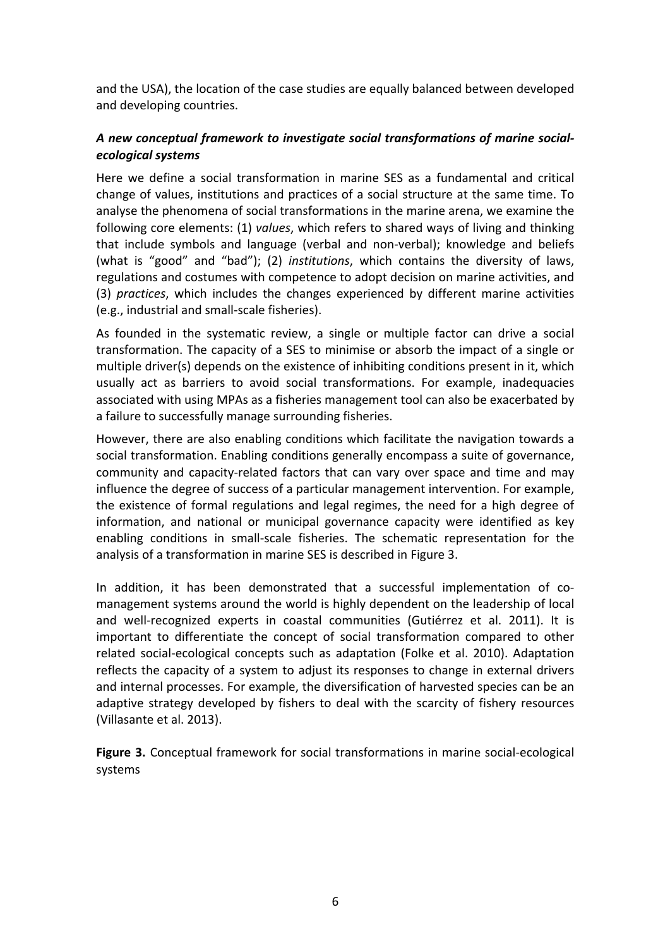and the USA), the location of the case studies are equally balanced between developed and developing countries.

# A new conceptual framework to investigate social transformations of marine social*ecological systems*

Here we define a social transformation in marine SES as a fundamental and critical change of values, institutions and practices of a social structure at the same time. To analyse the phenomena of social transformations in the marine arena, we examine the following core elements: (1) *values*, which refers to shared ways of living and thinking that include symbols and language (verbal and non-verbal); knowledge and beliefs (what is "good" and "bad"); (2) *institutions*, which contains the diversity of laws, regulations and costumes with competence to adopt decision on marine activities, and (3) *practices*, which includes the changes experienced by different marine activities (e.g., industrial and small-scale fisheries).

As founded in the systematic review, a single or multiple factor can drive a social transformation. The capacity of a SES to minimise or absorb the impact of a single or multiple driver(s) depends on the existence of inhibiting conditions present in it, which usually act as barriers to avoid social transformations. For example, inadequacies associated with using MPAs as a fisheries management tool can also be exacerbated by a failure to successfully manage surrounding fisheries.

However, there are also enabling conditions which facilitate the navigation towards a social transformation. Enabling conditions generally encompass a suite of governance, community and capacity-related factors that can vary over space and time and may influence the degree of success of a particular management intervention. For example, the existence of formal regulations and legal regimes, the need for a high degree of information, and national or municipal governance capacity were identified as key enabling conditions in small-scale fisheries. The schematic representation for the analysis of a transformation in marine SES is described in Figure 3.

In addition, it has been demonstrated that a successful implementation of comanagement systems around the world is highly dependent on the leadership of local and well-recognized experts in coastal communities (Gutiérrez et al. 2011). It is important to differentiate the concept of social transformation compared to other related social-ecological concepts such as adaptation (Folke et al. 2010). Adaptation reflects the capacity of a system to adjust its responses to change in external drivers and internal processes. For example, the diversification of harvested species can be an adaptive strategy developed by fishers to deal with the scarcity of fishery resources (Villasante et al. 2013).

**Figure 3.** Conceptual framework for social transformations in marine social-ecological systems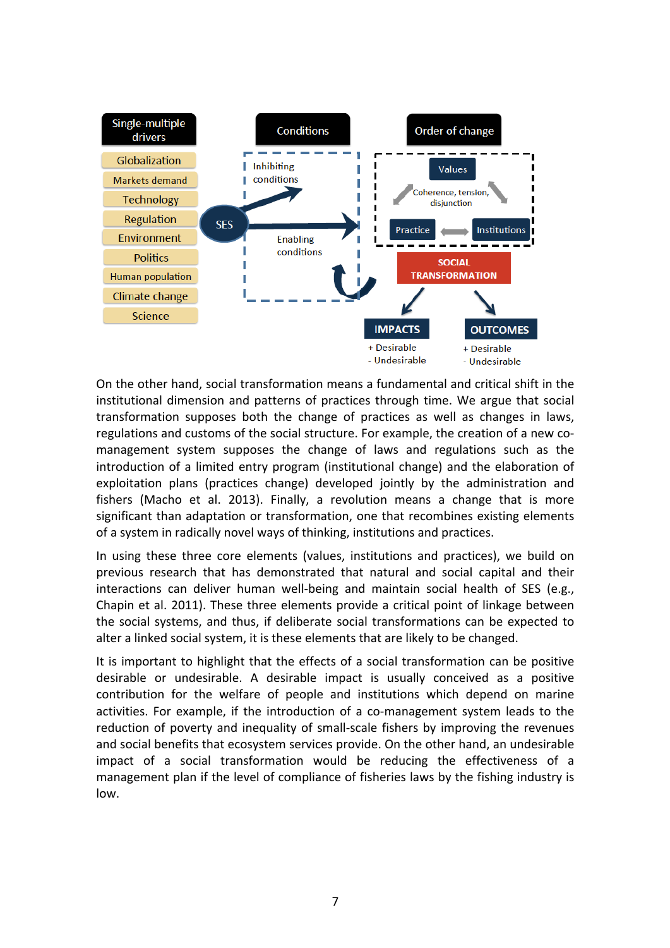

On the other hand, social transformation means a fundamental and critical shift in the institutional dimension and patterns of practices through time. We argue that social transformation supposes both the change of practices as well as changes in laws, regulations and customs of the social structure. For example, the creation of a new comanagement system supposes the change of laws and regulations such as the introduction of a limited entry program (institutional change) and the elaboration of exploitation plans (practices change) developed jointly by the administration and fishers (Macho et al. 2013). Finally, a revolution means a change that is more significant than adaptation or transformation, one that recombines existing elements of a system in radically novel ways of thinking, institutions and practices.

In using these three core elements (values, institutions and practices), we build on previous research that has demonstrated that natural and social capital and their interactions can deliver human well-being and maintain social health of SES (e.g., Chapin et al. 2011). These three elements provide a critical point of linkage between the social systems, and thus, if deliberate social transformations can be expected to alter a linked social system, it is these elements that are likely to be changed.

It is important to highlight that the effects of a social transformation can be positive desirable or undesirable. A desirable impact is usually conceived as a positive contribution for the welfare of people and institutions which depend on marine activities. For example, if the introduction of a co-management system leads to the reduction of poverty and inequality of small-scale fishers by improving the revenues and social benefits that ecosystem services provide. On the other hand, an undesirable impact of a social transformation would be reducing the effectiveness of a management plan if the level of compliance of fisheries laws by the fishing industry is low.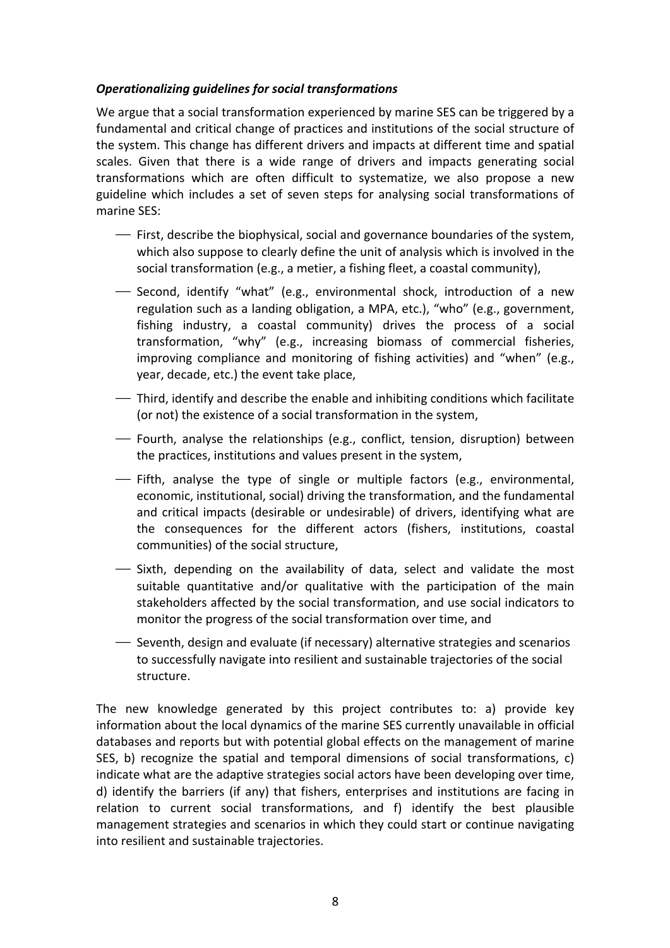# **Operationalizing guidelines for social transformations**

We argue that a social transformation experienced by marine SES can be triggered by a fundamental and critical change of practices and institutions of the social structure of the system. This change has different drivers and impacts at different time and spatial scales. Given that there is a wide range of drivers and impacts generating social transformations which are often difficult to systematize, we also propose a new guideline which includes a set of seven steps for analysing social transformations of marine SFS:

- $\overline{\phantom{a}}$  First, describe the biophysical, social and governance boundaries of the system, which also suppose to clearly define the unit of analysis which is involved in the social transformation (e.g., a metier, a fishing fleet, a coastal community),
- ⎯ Second, identify "what" (e.g., environmental shock, introduction of a new regulation such as a landing obligation, a MPA, etc.), "who" (e.g., government, fishing industry, a coastal community) drives the process of a social transformation, "why" (e.g., increasing biomass of commercial fisheries, improving compliance and monitoring of fishing activities) and "when" (e.g., year, decade, etc.) the event take place,
- Third, identify and describe the enable and inhibiting conditions which facilitate (or not) the existence of a social transformation in the system,
- Fourth, analyse the relationships (e.g., conflict, tension, disruption) between the practices, institutions and values present in the system,
- ⎯ Fifth, analyse the type of single or multiple factors (e.g., environmental, economic, institutional, social) driving the transformation, and the fundamental and critical impacts (desirable or undesirable) of drivers, identifying what are the consequences for the different actors (fishers, institutions, coastal communities) of the social structure,
- $\overline{\phantom{a}}$  Sixth, depending on the availability of data, select and validate the most suitable quantitative and/or qualitative with the participation of the main stakeholders affected by the social transformation, and use social indicators to monitor the progress of the social transformation over time, and
- ⎯ Seventh, design and evaluate (if necessary) alternative strategies and scenarios to successfully navigate into resilient and sustainable trajectories of the social structure.

The new knowledge generated by this project contributes to: a) provide key information about the local dynamics of the marine SES currently unavailable in official databases and reports but with potential global effects on the management of marine SES, b) recognize the spatial and temporal dimensions of social transformations, c) indicate what are the adaptive strategies social actors have been developing over time, d) identify the barriers (if any) that fishers, enterprises and institutions are facing in relation to current social transformations, and f) identify the best plausible management strategies and scenarios in which they could start or continue navigating into resilient and sustainable trajectories.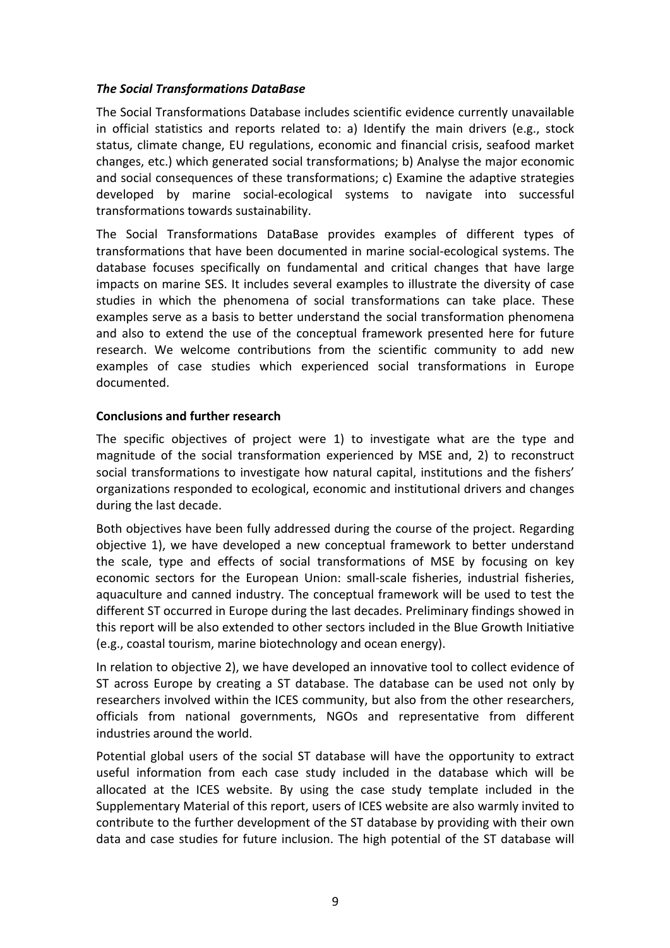# **The Social Transformations DataBase**

The Social Transformations Database includes scientific evidence currently unavailable in official statistics and reports related to: a) Identify the main drivers (e.g., stock status, climate change, EU regulations, economic and financial crisis, seafood market changes, etc.) which generated social transformations; b) Analyse the major economic and social consequences of these transformations; c) Examine the adaptive strategies developed by marine social-ecological systems to navigate into successful transformations towards sustainability.

The Social Transformations DataBase provides examples of different types of transformations that have been documented in marine social-ecological systems. The database focuses specifically on fundamental and critical changes that have large impacts on marine SES. It includes several examples to illustrate the diversity of case studies in which the phenomena of social transformations can take place. These examples serve as a basis to better understand the social transformation phenomena and also to extend the use of the conceptual framework presented here for future research. We welcome contributions from the scientific community to add new examples of case studies which experienced social transformations in Europe documented.

# **Conclusions and further research**

The specific objectives of project were 1) to investigate what are the type and magnitude of the social transformation experienced by MSE and, 2) to reconstruct social transformations to investigate how natural capital, institutions and the fishers' organizations responded to ecological, economic and institutional drivers and changes during the last decade.

Both objectives have been fully addressed during the course of the project. Regarding objective 1), we have developed a new conceptual framework to better understand the scale, type and effects of social transformations of MSE by focusing on key economic sectors for the European Union: small-scale fisheries, industrial fisheries, aquaculture and canned industry. The conceptual framework will be used to test the different ST occurred in Europe during the last decades. Preliminary findings showed in this report will be also extended to other sectors included in the Blue Growth Initiative (e.g., coastal tourism, marine biotechnology and ocean energy).

In relation to objective 2), we have developed an innovative tool to collect evidence of ST across Europe by creating a ST database. The database can be used not only by researchers involved within the ICES community, but also from the other researchers, officials from national governments, NGOs and representative from different industries around the world.

Potential global users of the social ST database will have the opportunity to extract useful information from each case study included in the database which will be allocated at the ICES website. By using the case study template included in the Supplementary Material of this report, users of ICES website are also warmly invited to contribute to the further development of the ST database by providing with their own data and case studies for future inclusion. The high potential of the ST database will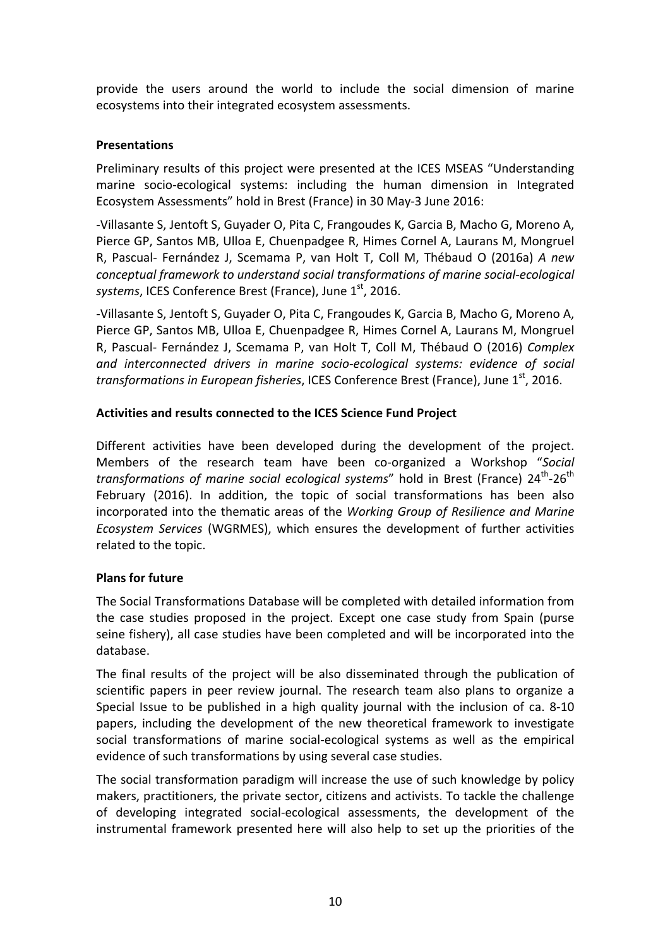provide the users around the world to include the social dimension of marine ecosystems into their integrated ecosystem assessments.

# **Presentations**

Preliminary results of this project were presented at the ICES MSEAS "Understanding marine socio-ecological systems: including the human dimension in Integrated Ecosystem Assessments" hold in Brest (France) in 30 May-3 June 2016:

-Villasante S, Jentoft S, Guyader O, Pita C, Frangoudes K, Garcia B, Macho G, Moreno A, Pierce GP, Santos MB, Ulloa E, Chuenpadgee R, Himes Cornel A, Laurans M, Mongruel R, Pascual- Fernández J, Scemama P, van Holt T, Coll M, Thébaud O (2016a) A new *conceptual framework to understand social transformations of marine social-ecological* systems, ICES Conference Brest (France), June 1<sup>st</sup>, 2016.

-Villasante S, Jentoft S, Guyader O, Pita C, Frangoudes K, Garcia B, Macho G, Moreno A, Pierce GP, Santos MB, Ulloa E, Chuenpadgee R, Himes Cornel A, Laurans M, Mongruel R, Pascual- Fernández J, Scemama P, van Holt T, Coll M, Thébaud O (2016) Complex and interconnected drivers in marine socio-ecological systems: evidence of social *transformations in European fisheries*, ICES Conference Brest (France), June 1<sup>st</sup>, 2016.

# **Activities and results connected to the ICES Science Fund Project**

Different activities have been developed during the development of the project. Members of the research team have been co-organized a Workshop "Social *transformations of marine social ecological systems*" hold in Brest (France) 24<sup>th</sup>-26<sup>th</sup> February (2016). In addition, the topic of social transformations has been also incorporated into the thematic areas of the *Working Group of Resilience and Marine Ecosystem Services* (WGRMES), which ensures the development of further activities related to the topic.

# **Plans** for future

The Social Transformations Database will be completed with detailed information from the case studies proposed in the project. Except one case study from Spain (purse seine fishery), all case studies have been completed and will be incorporated into the database.

The final results of the project will be also disseminated through the publication of scientific papers in peer review journal. The research team also plans to organize a Special Issue to be published in a high quality journal with the inclusion of ca. 8-10 papers, including the development of the new theoretical framework to investigate social transformations of marine social-ecological systems as well as the empirical evidence of such transformations by using several case studies.

The social transformation paradigm will increase the use of such knowledge by policy makers, practitioners, the private sector, citizens and activists. To tackle the challenge of developing integrated social-ecological assessments, the development of the instrumental framework presented here will also help to set up the priorities of the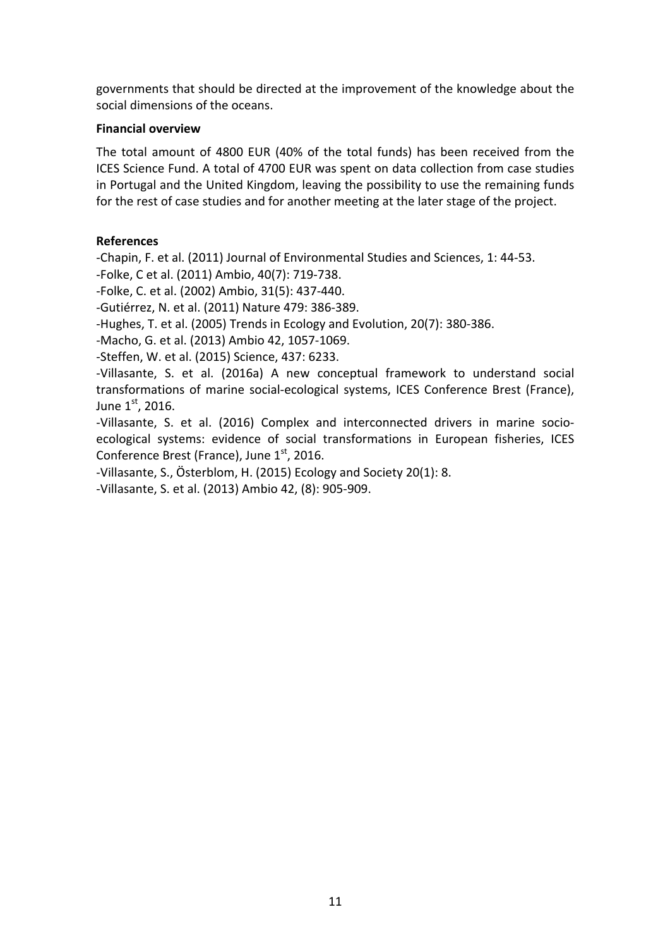governments that should be directed at the improvement of the knowledge about the social dimensions of the oceans.

# **Financial overview**

The total amount of 4800 EUR (40% of the total funds) has been received from the ICES Science Fund. A total of 4700 EUR was spent on data collection from case studies in Portugal and the United Kingdom, leaving the possibility to use the remaining funds for the rest of case studies and for another meeting at the later stage of the project.

# **References**

-Chapin, F. et al. (2011) Journal of Environmental Studies and Sciences, 1: 44-53.

-Folke, C et al. (2011) Ambio, 40(7): 719-738.

-Folke, C. et al. (2002) Ambio, 31(5): 437-440.

-Gutiérrez, N. et al. (2011) Nature 479: 386-389.

-Hughes, T. et al. (2005) Trends in Ecology and Evolution, 20(7): 380-386.

-Macho, G. et al. (2013) Ambio 42, 1057-1069.

-Steffen, W. et al. (2015) Science, 437: 6233.

-Villasante, S. et al. (2016a) A new conceptual framework to understand social transformations of marine social-ecological systems, ICES Conference Brest (France), June  $1<sup>st</sup>$ , 2016.

-Villasante, S. et al. (2016) Complex and interconnected drivers in marine socioecological systems: evidence of social transformations in European fisheries, ICES Conference Brest (France), June  $1<sup>st</sup>$ , 2016.

-Villasante, S., Österblom, H. (2015) Ecology and Society 20(1): 8.

-Villasante, S. et al. (2013) Ambio 42, (8): 905-909.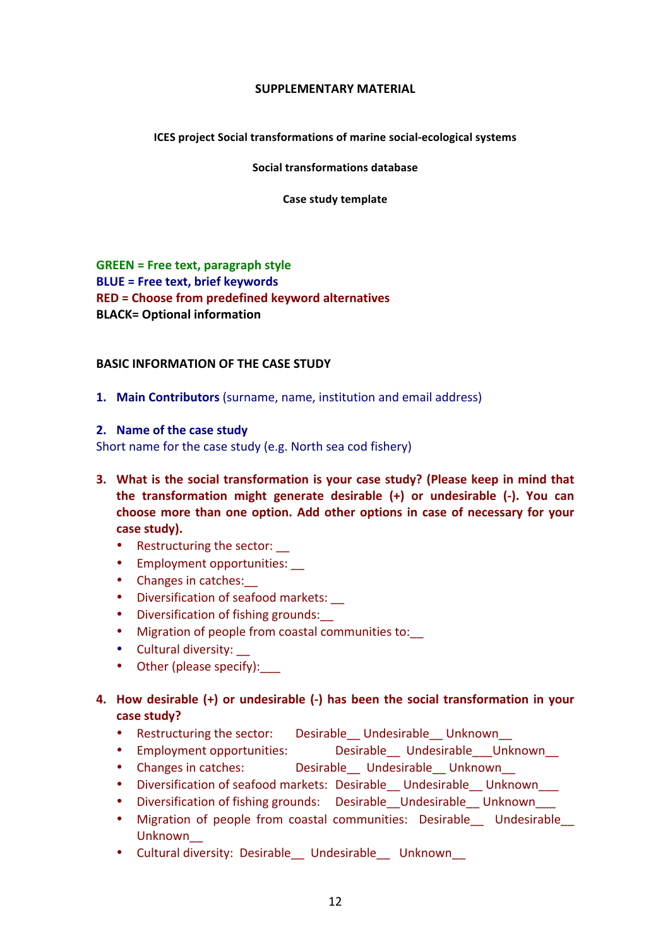#### **SUPPLEMENTARY MATERIAL**

#### **ICES** project Social transformations of marine social-ecological systems

#### **Social transformations database**

#### **Case study template**

**GREEN** = Free text, paragraph style **BLUE** = Free text, brief keywords **RED** = Choose from predefined keyword alternatives **BLACK= Optional information** 

#### **BASIC INFORMATION OF THE CASE STUDY**

**1. Main Contributors** (surname, name, institution and email address)

#### **2.** Name of the case study

Short name for the case study (e.g. North sea cod fishery)

- **3.** What is the social transformation is your case study? (Please keep in mind that the transformation might generate desirable (+) or undesirable (-). You can choose more than one option. Add other options in case of necessary for your case study).
	- Restructuring the sector:  $\_\_$
	- Employment opportunities:
	- Changes in catches:
	- Diversification of seafood markets:
	- Diversification of fishing grounds:
	- Migration of people from coastal communities to:
	- Cultural diversity:
	- Other (please specify):
- 4. How desirable (+) or undesirable (-) has been the social transformation in your **case study?**
	- Restructuring the sector: Desirable Undesirable Unknown
	- Employment opportunities: <br>
	Desirable Undesirable Undesirable Unknown
	- Changes in catches: Desirable Undesirable Unknown
	- Diversification of seafood markets: Desirable Undesirable Unknown
	- Diversification of fishing grounds: Desirable Undesirable Unknown
	- Migration of people from coastal communities: Desirable Undesirable Unknown\_\_
	- Cultural diversity: Desirable\_\_ Undesirable\_\_ Unknown\_\_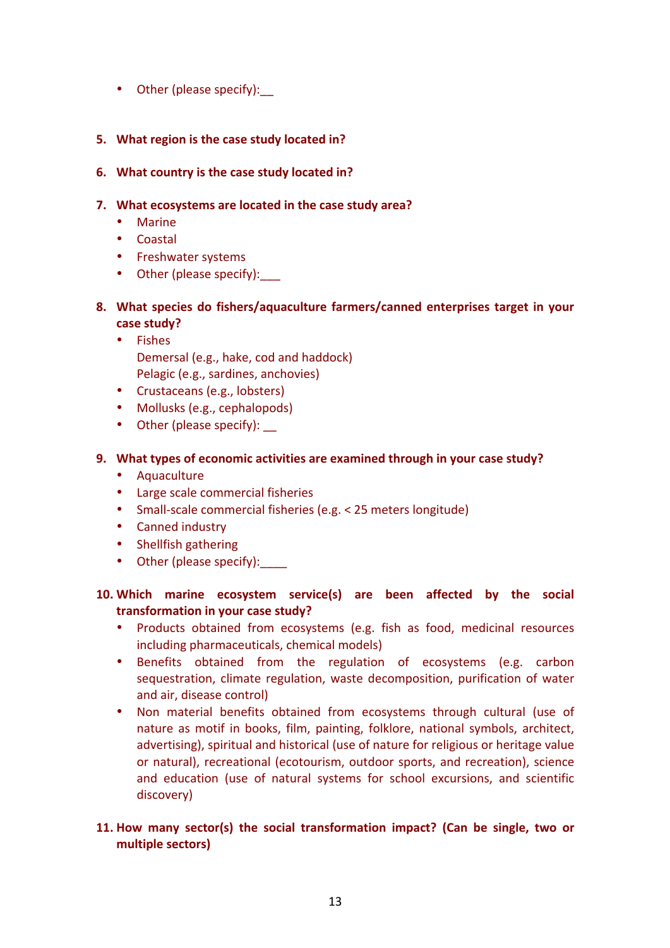• Other (please specify):

# **5.** What region is the case study located in?

## **6.** What country is the case study located in?

# **7.** What ecosystems are located in the case study area?

- Marine
- Coastal
- Freshwater systems
- Other (please specify):
- 8. What species do fishers/aquaculture farmers/canned enterprises target in your case study?
	- Fishes Demersal (e.g., hake, cod and haddock) Pelagic (e.g., sardines, anchovies)
	- Crustaceans (e.g., lobsters)
	- Mollusks (e.g., cephalopods)
	- Other (please specify):

# **9.** What types of economic activities are examined through in your case study?

- Aquaculture
- Large scale commercial fisheries
- Small-scale commercial fisheries (e.g. < 25 meters longitude)
- Canned industry
- Shellfish gathering
- Other (please specify):

# **10.** Which marine ecosystem service(s) are been affected by the social transformation in your case study?

- Products obtained from ecosystems (e.g. fish as food, medicinal resources including pharmaceuticals, chemical models)
- Benefits obtained from the regulation of ecosystems (e.g. carbon sequestration, climate regulation, waste decomposition, purification of water and air, disease control)
- Non material benefits obtained from ecosystems through cultural (use of nature as motif in books, film, painting, folklore, national symbols, architect, advertising), spiritual and historical (use of nature for religious or heritage value or natural), recreational (ecotourism, outdoor sports, and recreation), science and education (use of natural systems for school excursions, and scientific discovery)

# **11.** How many sector(s) the social transformation impact? (Can be single, two or **multiple sectors)**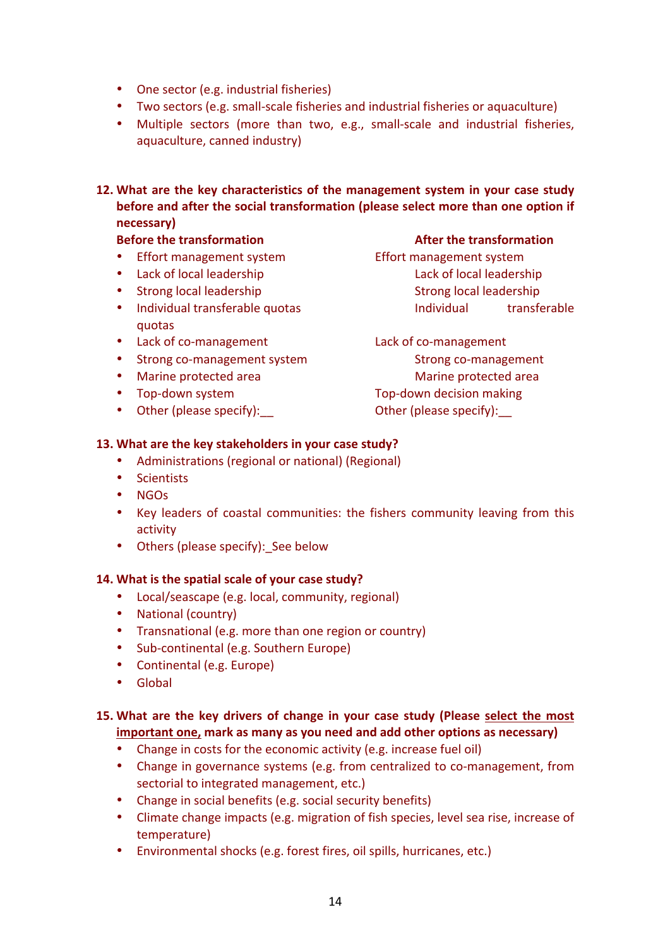- One sector (e.g. industrial fisheries)
- Two sectors (e.g. small-scale fisheries and industrial fisheries or aquaculture)
- Multiple sectors (more than two, e.g., small-scale and industrial fisheries, aquaculture, canned industry)
- 12. What are the key characteristics of the management system in your case study **before and after the social transformation (please select more than one option if necessary)**

# **Before the transformation Before the transformation**

- Effort management system Effort management system
- 
- 
- quotas
- Lack of co-management Lack of co-management
- Strong co-management system Strong co-management
- 
- 
- Other (please specify):  $\qquad \qquad$  Other (please specify):

• Lack of local leadership **Lack** of local leadership • Strong local leadership Strong local leadership Strong local leadership • Individual transferable quotas individual individual transferable

• Marine protected area **Marine** Marine protected area • Top-down system Top-down decision making

# 13. What are the key stakeholders in your case study?

- Administrations (regional or national) (Regional)
- Scientists
- NGOs
- Key leaders of coastal communities: the fishers community leaving from this activity
- Others (please specify): See below

### 14. What is the spatial scale of your case study?

- Local/seascape (e.g. local, community, regional)
- National (country)
- Transnational (e.g. more than one region or country)
- Sub-continental (e.g. Southern Europe)
- Continental (e.g. Europe)
- Global

# 15. What are the key drivers of change in your case study (Please select the most **important one, mark as many as you need and add other options as necessary)**

- Change in costs for the economic activity (e.g. increase fuel oil)
- Change in governance systems (e.g. from centralized to co-management, from sectorial to integrated management, etc.)
- Change in social benefits (e.g. social security benefits)
- Climate change impacts (e.g. migration of fish species, level sea rise, increase of temperature)
- Environmental shocks (e.g. forest fires, oil spills, hurricanes, etc.)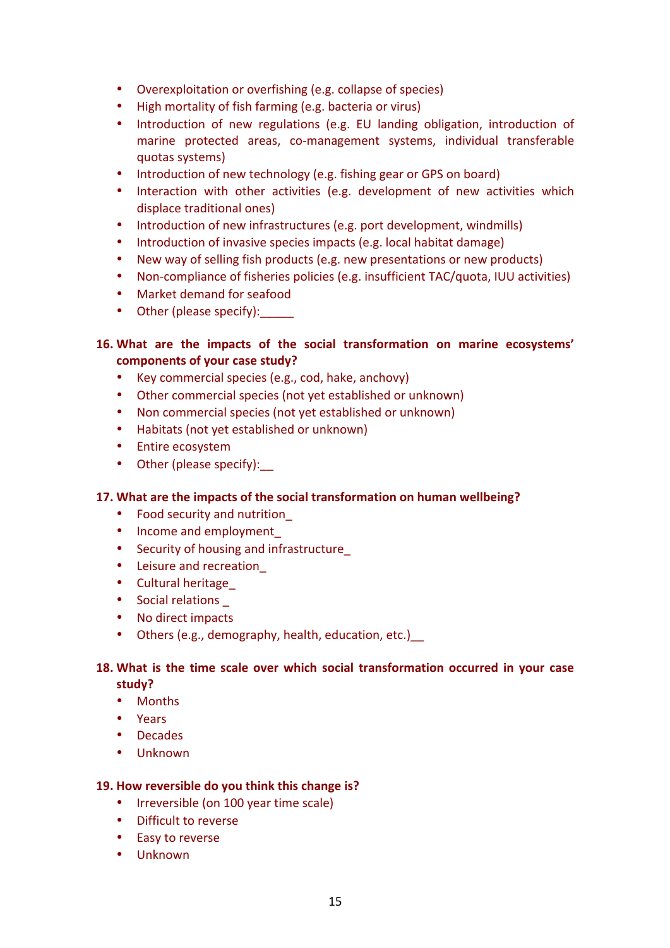- Overexploitation or overfishing (e.g. collapse of species)
- High mortality of fish farming (e.g. bacteria or virus)
- Introduction of new regulations (e.g. EU landing obligation, introduction of marine protected areas, co-management systems, individual transferable quotas systems)
- Introduction of new technology (e.g. fishing gear or GPS on board)
- Interaction with other activities (e.g. development of new activities which displace traditional ones)
- Introduction of new infrastructures (e.g. port development, windmills)
- Introduction of invasive species impacts (e.g. local habitat damage)
- New way of selling fish products (e.g. new presentations or new products)
- Non-compliance of fisheries policies (e.g. insufficient TAC/quota, IUU activities)
- Market demand for seafood
- Other (please specify):\_\_\_\_\_

# **16.** What are the impacts of the social transformation on marine ecosystems' **components of your case study?**

- Key commercial species (e.g., cod, hake, anchovy)
- Other commercial species (not yet established or unknown)
- Non commercial species (not yet established or unknown)
- Habitats (not yet established or unknown)
- Entire ecosystem
- Other (please specify):

# **17.** What are the impacts of the social transformation on human wellbeing?

- Food security and nutrition
- Income and employment
- Security of housing and infrastructure
- Leisure and recreation
- Cultural heritage
- Social relations
- No direct impacts
- Others (e.g., demography, health, education, etc.)

# 18. What is the time scale over which social transformation occurred in your case **study?**

- Months
- Years
- Decades
- Unknown

# **19.** How reversible do you think this change is?

- Irreversible (on 100 year time scale)
- Difficult to reverse
- Easy to reverse
- Unknown